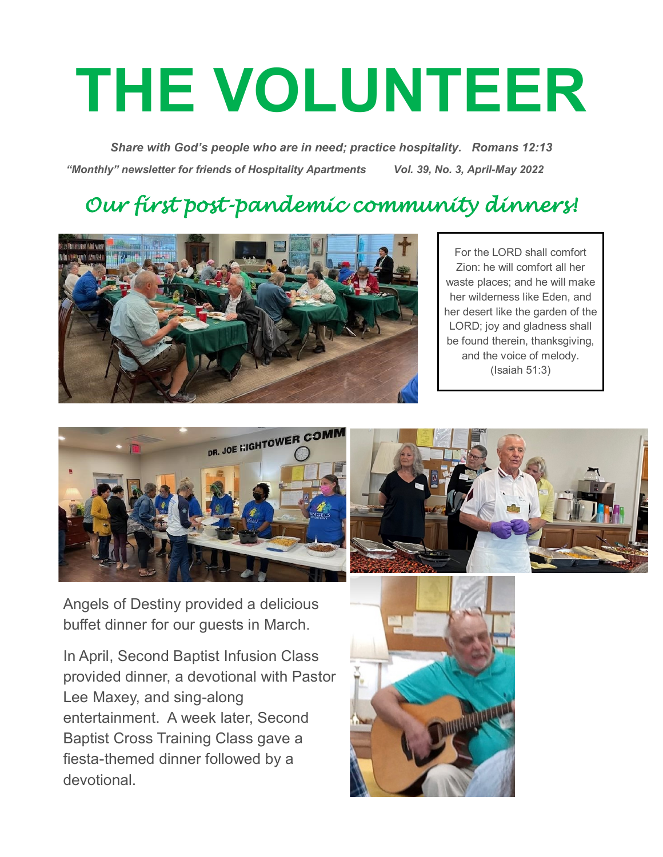# **THE VOLUNTEER**

*Share with God's people who are in need; practice hospitality. Romans 12:13 "Monthly" newsletter for friends of Hospitality Apartments Vol. 39, No. 3, April-May 2022*

## *Our first post-pandemic community dinners!*



For the LORD shall comfort Zion: he will comfort all her waste places; and he will make her wilderness like Eden, and her desert like the garden of the LORD; joy and gladness shall be found therein, thanksgiving, and the voice of melody. (Isaiah 51:3)





Angels of Destiny provided a delicious buffet dinner for our guests in March.

In April, Second Baptist Infusion Class provided dinner, a devotional with Pastor Lee Maxey, and sing-along entertainment. A week later, Second Baptist Cross Training Class gave a fiesta-themed dinner followed by a devotional.

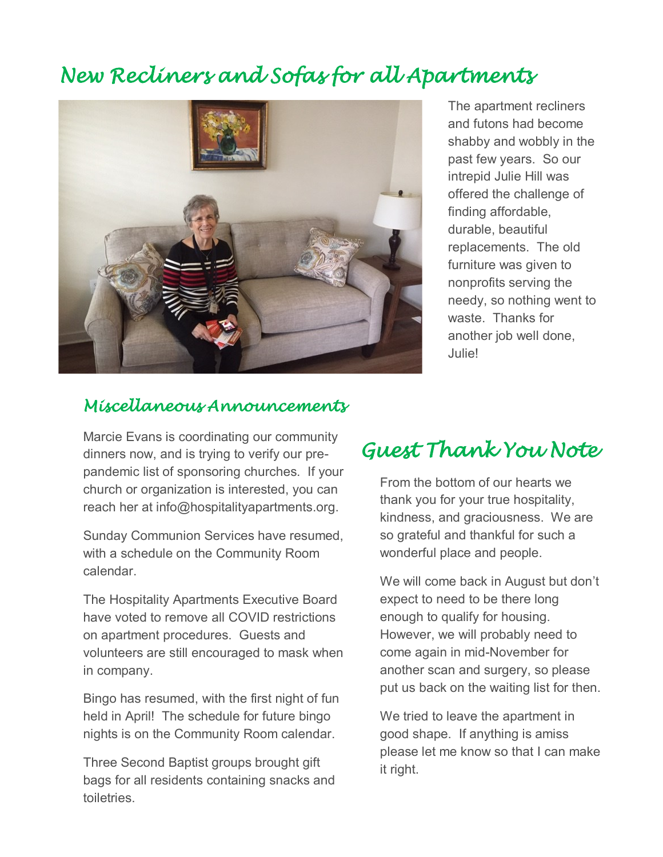## *New Recliners and Sofas for all Apartments*



The apartment recliners and futons had become shabby and wobbly in the past few years. So our intrepid Julie Hill was offered the challenge of finding affordable, durable, beautiful replacements. The old furniture was given to nonprofits serving the needy, so nothing went to waste. Thanks for another job well done, Julie!

#### *Miscellaneous Announcements*

Marcie Evans is coordinating our community dinners now, and is trying to verify our prepandemic list of sponsoring churches. If your church or organization is interested, you can reach her at info@hospitalityapartments.org.

Sunday Communion Services have resumed, with a schedule on the Community Room calendar.

The Hospitality Apartments Executive Board have voted to remove all COVID restrictions on apartment procedures. Guests and volunteers are still encouraged to mask when in company.

Bingo has resumed, with the first night of fun held in April! The schedule for future bingo nights is on the Community Room calendar.

Three Second Baptist groups brought gift bags for all residents containing snacks and toiletries.

## *Guest Thank You Note*

From the bottom of our hearts we thank you for your true hospitality, kindness, and graciousness. We are so grateful and thankful for such a wonderful place and people.

We will come back in August but don't expect to need to be there long enough to qualify for housing. However, we will probably need to come again in mid-November for another scan and surgery, so please put us back on the waiting list for then.

We tried to leave the apartment in good shape. If anything is amiss please let me know so that I can make it right.